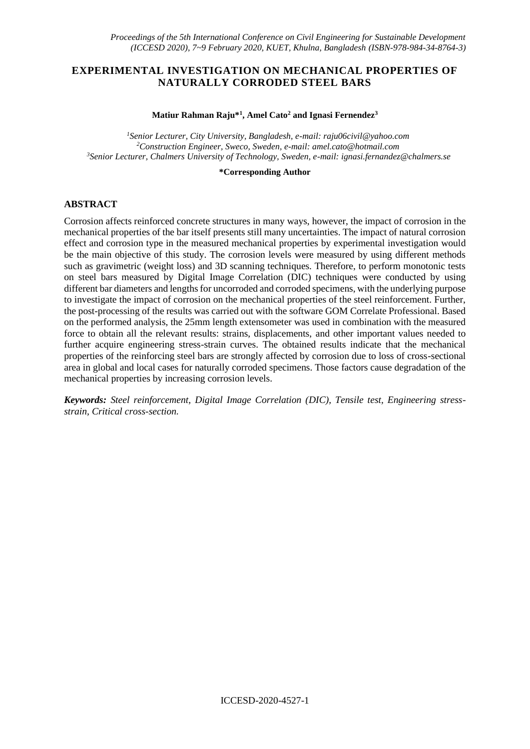# **EXPERIMENTAL INVESTIGATION ON MECHANICAL PROPERTIES OF NATURALLY CORRODED STEEL BARS**

#### **Matiur Rahman Raju\*<sup>1</sup> , Amel Cato<sup>2</sup> and Ignasi Fernendez<sup>3</sup>**

*<sup>1</sup>Senior Lecturer, City University, Bangladesh, e-mail: raju06civil@yahoo.com <sup>2</sup>Construction Engineer, Sweco, Sweden, e-mail: amel.cato@hotmail.com <sup>3</sup>Senior Lecturer, Chalmers University of Technology, Sweden, e-mail: ignasi.fernandez@chalmers.se*

#### **\*Corresponding Author**

## **ABSTRACT**

Corrosion affects reinforced concrete structures in many ways, however, the impact of corrosion in the mechanical properties of the bar itself presents still many uncertainties. The impact of natural corrosion effect and corrosion type in the measured mechanical properties by experimental investigation would be the main objective of this study. The corrosion levels were measured by using different methods such as gravimetric (weight loss) and 3D scanning techniques. Therefore, to perform monotonic tests on steel bars measured by Digital Image Correlation (DIC) techniques were conducted by using different bar diameters and lengths for uncorroded and corroded specimens, with the underlying purpose to investigate the impact of corrosion on the mechanical properties of the steel reinforcement. Further, the post-processing of the results was carried out with the software GOM Correlate Professional. Based on the performed analysis, the 25mm length extensometer was used in combination with the measured force to obtain all the relevant results: strains, displacements, and other important values needed to further acquire engineering stress-strain curves. The obtained results indicate that the mechanical properties of the reinforcing steel bars are strongly affected by corrosion due to loss of cross-sectional area in global and local cases for naturally corroded specimens. Those factors cause degradation of the mechanical properties by increasing corrosion levels.

*Keywords: Steel reinforcement, Digital Image Correlation (DIC), Tensile test, Engineering stressstrain, Critical cross-section.*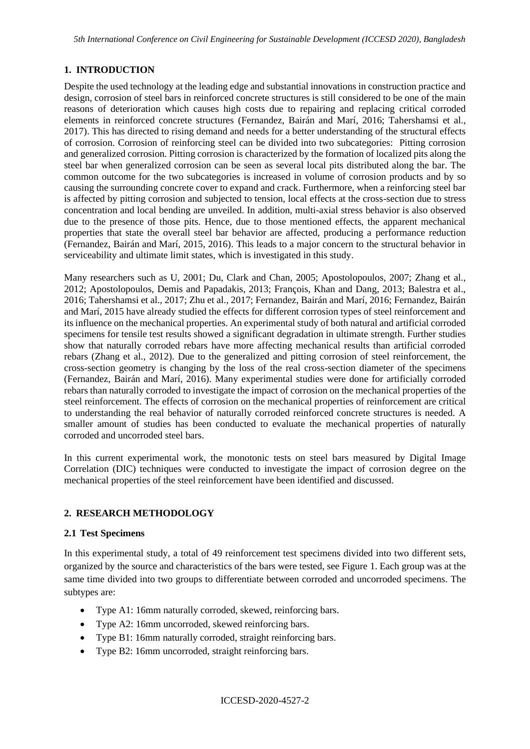# **1. INTRODUCTION**

Despite the used technology at the leading edge and substantial innovations in construction practice and design, corrosion of steel bars in reinforced concrete structures is still considered to be one of the main reasons of deterioration which causes high costs due to repairing and replacing critical corroded elements in reinforced concrete structures (Fernandez, Bairán and Marí, 2016; Tahershamsi et al., 2017). This has directed to rising demand and needs for a better understanding of the structural effects of corrosion. Corrosion of reinforcing steel can be divided into two subcategories: Pitting corrosion and generalized corrosion. Pitting corrosion is characterized by the formation of localized pits along the steel bar when generalized corrosion can be seen as several local pits distributed along the bar. The common outcome for the two subcategories is increased in volume of corrosion products and by so causing the surrounding concrete cover to expand and crack. Furthermore, when a reinforcing steel bar is affected by pitting corrosion and subjected to tension, local effects at the cross-section due to stress concentration and local bending are unveiled. In addition, multi-axial stress behavior is also observed due to the presence of those pits. Hence, due to those mentioned effects, the apparent mechanical properties that state the overall steel bar behavior are affected, producing a performance reduction (Fernandez, Bairán and Marí, 2015, 2016). This leads to a major concern to the structural behavior in serviceability and ultimate limit states, which is investigated in this study.

Many researchers such as U, 2001; Du, Clark and Chan, 2005; Apostolopoulos, 2007; Zhang et al., 2012; Apostolopoulos, Demis and Papadakis, 2013; François, Khan and Dang, 2013; Balestra et al., 2016; Tahershamsi et al., 2017; Zhu et al., 2017; Fernandez, Bairán and Marí, 2016; Fernandez, Bairán and Marí, 2015 have already studied the effects for different corrosion types of steel reinforcement and its influence on the mechanical properties. An experimental study of both natural and artificial corroded specimens for tensile test results showed a significant degradation in ultimate strength. Further studies show that naturally corroded rebars have more affecting mechanical results than artificial corroded rebars (Zhang et al., 2012). Due to the generalized and pitting corrosion of steel reinforcement, the cross-section geometry is changing by the loss of the real cross-section diameter of the specimens (Fernandez, Bairán and Marí, 2016). Many experimental studies were done for artificially corroded rebars than naturally corroded to investigate the impact of corrosion on the mechanical properties of the steel reinforcement. The effects of corrosion on the mechanical properties of reinforcement are critical to understanding the real behavior of naturally corroded reinforced concrete structures is needed. A smaller amount of studies has been conducted to evaluate the mechanical properties of naturally corroded and uncorroded steel bars.

In this current experimental work, the monotonic tests on steel bars measured by Digital Image Correlation (DIC) techniques were conducted to investigate the impact of corrosion degree on the mechanical properties of the steel reinforcement have been identified and discussed.

# **2. RESEARCH METHODOLOGY**

### **2.1 Test Specimens**

In this experimental study, a total of 49 reinforcement test specimens divided into two different sets, organized by the source and characteristics of the bars were tested, see Figure 1. Each group was at the same time divided into two groups to differentiate between corroded and uncorroded specimens. The subtypes are:

- Type A1: 16mm naturally corroded, skewed, reinforcing bars.
- Type A2: 16mm uncorroded, skewed reinforcing bars.
- Type B1: 16mm naturally corroded, straight reinforcing bars.
- Type B2: 16mm uncorroded, straight reinforcing bars.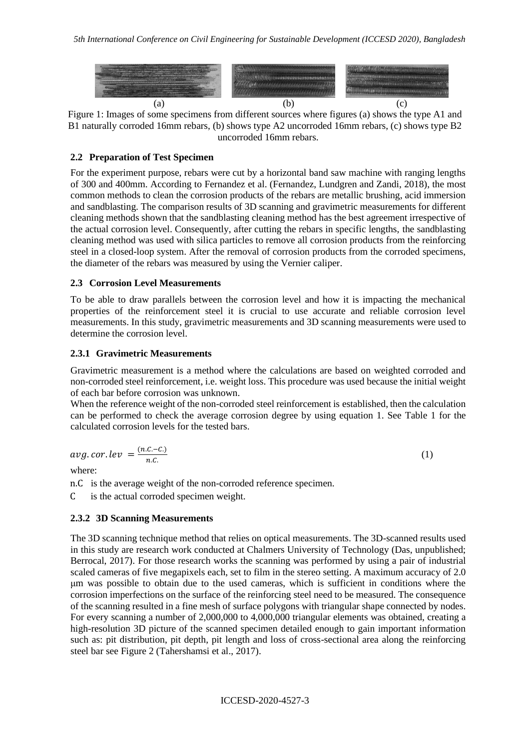

Figure 1: Images of some specimens from different sources where figures (a) shows the type A1 and B1 naturally corroded 16mm rebars, (b) shows type A2 uncorroded 16mm rebars, (c) shows type B2 uncorroded 16mm rebars.

# **2.2 Preparation of Test Specimen**

For the experiment purpose, rebars were cut by a horizontal band saw machine with ranging lengths of 300 and 400mm. According to Fernandez et al. (Fernandez, Lundgren and Zandi, 2018), the most common methods to clean the corrosion products of the rebars are metallic brushing, acid immersion and sandblasting. The comparison results of 3D scanning and gravimetric measurements for different cleaning methods shown that the sandblasting cleaning method has the best agreement irrespective of the actual corrosion level. Consequently, after cutting the rebars in specific lengths, the sandblasting cleaning method was used with silica particles to remove all corrosion products from the reinforcing steel in a closed-loop system. After the removal of corrosion products from the corroded specimens, the diameter of the rebars was measured by using the Vernier caliper.

## **2.3 Corrosion Level Measurements**

To be able to draw parallels between the corrosion level and how it is impacting the mechanical properties of the reinforcement steel it is crucial to use accurate and reliable corrosion level measurements. In this study, gravimetric measurements and 3D scanning measurements were used to determine the corrosion level.

## **2.3.1 Gravimetric Measurements**

Gravimetric measurement is a method where the calculations are based on weighted corroded and non-corroded steel reinforcement, i.e. weight loss. This procedure was used because the initial weight of each bar before corrosion was unknown.

When the reference weight of the non-corroded steel reinforcement is established, then the calculation can be performed to check the average corrosion degree by using equation 1. See Table 1 for the calculated corrosion levels for the tested bars.

$$
avg.cor. lev = \frac{(n.c.-c.)}{n.c.}
$$
 (1)

where:

n.C is the average weight of the non-corroded reference specimen.

C is the actual corroded specimen weight.

# **2.3.2 3D Scanning Measurements**

The 3D scanning technique method that relies on optical measurements. The 3D-scanned results used in this study are research work conducted at Chalmers University of Technology (Das, unpublished; Berrocal, 2017). For those research works the scanning was performed by using a pair of industrial scaled cameras of five megapixels each, set to film in the stereo setting. A maximum accuracy of 2.0 μm was possible to obtain due to the used cameras, which is sufficient in conditions where the corrosion imperfections on the surface of the reinforcing steel need to be measured. The consequence of the scanning resulted in a fine mesh of surface polygons with triangular shape connected by nodes. For every scanning a number of 2,000,000 to 4,000,000 triangular elements was obtained, creating a high-resolution 3D picture of the scanned specimen detailed enough to gain important information such as: pit distribution, pit depth, pit length and loss of cross-sectional area along the reinforcing steel bar see Figure 2 (Tahershamsi et al., 2017).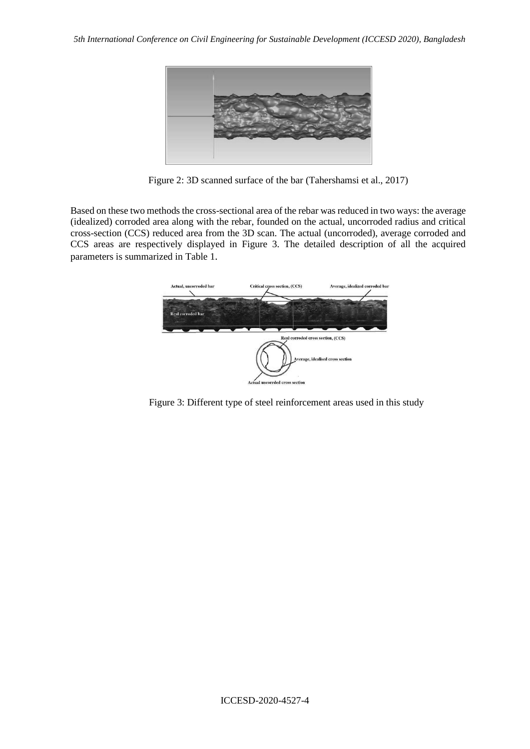

Figure 2: 3D scanned surface of the bar (Tahershamsi et al., 2017)

Based on these two methods the cross-sectional area of the rebar was reduced in two ways: the average (idealized) corroded area along with the rebar, founded on the actual, uncorroded radius and critical cross-section (CCS) reduced area from the 3D scan. The actual (uncorroded), average corroded and CCS areas are respectively displayed in Figure 3. The detailed description of all the acquired parameters is summarized in Table 1.



Figure 3: Different type of steel reinforcement areas used in this study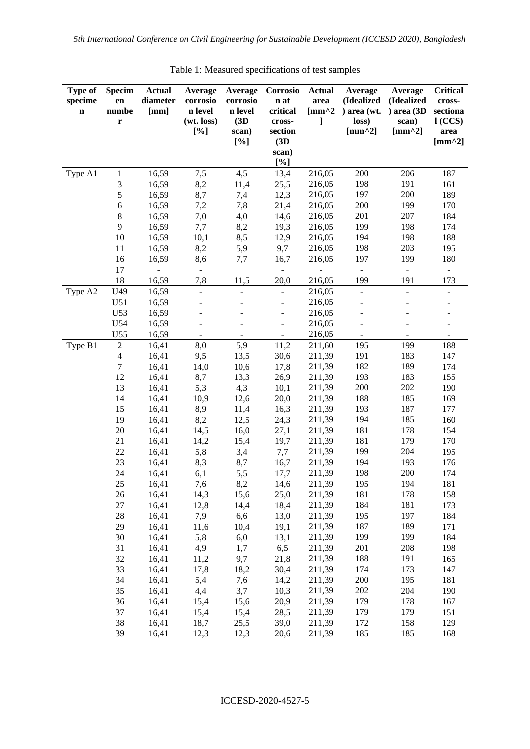| <b>Type of</b><br>specime<br>$\mathbf n$ | <b>Specim</b><br>en<br>numbe<br>$\mathbf r$ | <b>Actual</b><br>diameter<br>[mm] | Average<br>corrosio<br>n level<br>(wt. loss)<br>[%] | Average<br>corrosio<br>n level<br>(3D)<br>scan)<br>[%] | Corrosio<br>n at<br>critical<br>cross-<br>section<br>(3D)<br>scan) | <b>Actual</b><br>area<br>[ $mm^2$ ]<br>1 | Average<br>(Idealized<br>) area (wt.<br>loss)<br>$[mm^2]$ | Average<br>(Idealized<br>) area (3D<br>scan)<br>[ $mm^2$ ] | <b>Critical</b><br>cross-<br>sectiona<br>l(CCS)<br>area<br>[ $mm^2$ ] |
|------------------------------------------|---------------------------------------------|-----------------------------------|-----------------------------------------------------|--------------------------------------------------------|--------------------------------------------------------------------|------------------------------------------|-----------------------------------------------------------|------------------------------------------------------------|-----------------------------------------------------------------------|
|                                          |                                             |                                   |                                                     |                                                        | [%]                                                                |                                          |                                                           |                                                            |                                                                       |
| Type A1                                  | $\mathbf{1}$                                | 16,59                             | 7,5                                                 | 4,5                                                    | 13,4                                                               | 216,05                                   | 200                                                       | 206                                                        | 187                                                                   |
|                                          | 3                                           | 16,59                             | 8,2                                                 | 11,4                                                   | 25,5                                                               | 216,05                                   | 198                                                       | 191                                                        | 161                                                                   |
|                                          | 5                                           | 16,59                             | 8,7                                                 | 7,4                                                    | 12,3                                                               | 216,05                                   | 197                                                       | 200                                                        | 189                                                                   |
|                                          | 6                                           | 16,59                             | 7,2                                                 | 7,8                                                    | 21,4                                                               | 216,05                                   | 200                                                       | 199                                                        | 170                                                                   |
|                                          | 8                                           | 16,59                             | 7,0                                                 | 4,0                                                    | 14,6                                                               | 216,05                                   | 201                                                       | 207                                                        | 184                                                                   |
|                                          | 9                                           | 16,59                             | 7,7                                                 | 8,2                                                    | 19,3                                                               | 216,05                                   | 199                                                       | 198                                                        | 174                                                                   |
|                                          | 10                                          | 16,59                             | 10,1                                                | 8,5                                                    | 12,9                                                               | 216,05                                   | 194                                                       | 198                                                        | 188                                                                   |
|                                          | 11                                          | 16,59                             | 8,2                                                 | 5,9                                                    | 9,7                                                                | 216,05                                   | 198                                                       | 203                                                        | 195                                                                   |
|                                          | 16                                          | 16,59                             | 8,6                                                 | 7,7                                                    | 16,7                                                               | 216,05                                   | 197                                                       | 199                                                        | 180                                                                   |
|                                          | 17                                          | $\blacksquare$                    | $\overline{\phantom{a}}$                            |                                                        | $\overline{\phantom{0}}$                                           |                                          | $\Box$                                                    | $\Box$                                                     | $\blacksquare$                                                        |
|                                          | 18                                          | 16,59                             | 7,8                                                 | 11,5                                                   | 20,0                                                               | 216,05                                   | 199                                                       | 191                                                        | 173                                                                   |
| Type A2                                  | U49                                         | 16,59                             | $\Box$                                              |                                                        |                                                                    | 216,05                                   | $\overline{\phantom{a}}$                                  | $\overline{a}$                                             | $\overline{\phantom{a}}$                                              |
|                                          | U51                                         | 16,59                             |                                                     |                                                        |                                                                    | 216,05                                   |                                                           |                                                            |                                                                       |
|                                          | U53                                         | 16,59                             |                                                     |                                                        |                                                                    | 216,05                                   |                                                           |                                                            |                                                                       |
|                                          | U54                                         | 16,59                             |                                                     |                                                        |                                                                    | 216,05                                   |                                                           |                                                            |                                                                       |
|                                          | U55                                         | 16,59                             | $\blacksquare$                                      |                                                        |                                                                    | 216,05                                   |                                                           | $\blacksquare$                                             |                                                                       |
| Type B1                                  | $\overline{c}$                              | 16,41                             | 8,0                                                 | 5,9                                                    | 11,2                                                               | 211,60                                   | 195                                                       | 199                                                        | 188                                                                   |
|                                          | $\overline{4}$                              | 16,41                             | 9,5                                                 | 13,5                                                   | 30,6                                                               | 211,39                                   | 191                                                       | 183                                                        | 147                                                                   |
|                                          | $\boldsymbol{7}$                            | 16,41                             | 14,0                                                | 10,6                                                   | 17,8                                                               | 211,39                                   | 182                                                       | 189                                                        | 174                                                                   |
|                                          | 12                                          | 16,41                             | 8,7                                                 | 13,3                                                   | 26,9                                                               | 211,39                                   | 193                                                       | 183                                                        | 155                                                                   |
|                                          | 13                                          | 16,41                             | 5,3                                                 | 4,3                                                    | 10,1                                                               | 211,39                                   | 200                                                       | 202                                                        | 190                                                                   |
|                                          | 14                                          | 16,41                             | 10,9                                                | 12,6                                                   | 20,0                                                               | 211,39                                   | 188                                                       | 185                                                        | 169                                                                   |
|                                          | 15                                          | 16,41                             | 8,9                                                 | 11,4                                                   | 16,3                                                               | 211,39                                   | 193                                                       | 187                                                        | 177                                                                   |
|                                          | 19                                          | 16,41                             | 8,2                                                 | 12,5                                                   | 24,3                                                               | 211,39                                   | 194                                                       | 185                                                        | 160                                                                   |
|                                          | 20                                          | 16,41                             | 14,5                                                | 16,0                                                   | 27,1                                                               | 211,39                                   | 181                                                       | 178                                                        | 154                                                                   |
|                                          | 21                                          | 16,41                             | 14,2                                                | 15,4                                                   | 19,7                                                               | 211,39                                   | 181                                                       | 179                                                        | 170                                                                   |
|                                          | 22                                          | 16,41                             | 5,8                                                 | 3,4                                                    | 7,7                                                                | 211,39                                   | 199                                                       | 204                                                        | 195                                                                   |
|                                          | 23                                          | 16,41                             | 8,3                                                 | 8,7                                                    | 16,7                                                               | 211,39                                   | 194                                                       | 193                                                        | 176                                                                   |
|                                          | 24                                          | 16,41                             | 6,1                                                 | 5,5                                                    | 17,7                                                               | 211,39                                   | 198                                                       | 200                                                        | 174                                                                   |
|                                          | 25                                          | 16,41                             | 7,6                                                 | 8,2                                                    | 14,6                                                               | 211,39                                   | 195<br>181                                                | 194<br>178                                                 | 181                                                                   |
|                                          | $26\,$<br>$27\,$                            | 16,41<br>16,41                    | 14,3<br>12,8                                        | 15,6                                                   | 25,0<br>18,4                                                       | 211,39<br>211,39                         | 184                                                       | 181                                                        | 158                                                                   |
|                                          | $28\,$                                      | 16,41                             | 7,9                                                 | 14,4<br>6,6                                            | 13,0                                                               | 211,39                                   | 195                                                       | 197                                                        | 173<br>184                                                            |
|                                          | 29                                          | 16,41                             | 11,6                                                | 10,4                                                   | 19,1                                                               | 211,39                                   | 187                                                       | 189                                                        | 171                                                                   |
|                                          | 30                                          | 16,41                             | 5,8                                                 | 6,0                                                    | 13,1                                                               | 211,39                                   | 199                                                       | 199                                                        | 184                                                                   |
|                                          | 31                                          | 16,41                             | 4,9                                                 | 1,7                                                    | 6,5                                                                | 211,39                                   | 201                                                       | 208                                                        | 198                                                                   |
|                                          | 32                                          | 16,41                             | 11,2                                                | 9,7                                                    | 21,8                                                               | 211,39                                   | 188                                                       | 191                                                        | 165                                                                   |
|                                          | 33                                          | 16,41                             | 17,8                                                | 18,2                                                   | 30,4                                                               | 211,39                                   | 174                                                       | 173                                                        | 147                                                                   |
|                                          | 34                                          | 16,41                             | 5,4                                                 | 7,6                                                    | 14,2                                                               | 211,39                                   | 200                                                       | 195                                                        | 181                                                                   |
|                                          | 35                                          | 16,41                             | 4,4                                                 | 3,7                                                    | 10,3                                                               | 211,39                                   | 202                                                       | 204                                                        | 190                                                                   |
|                                          | 36                                          | 16,41                             | 15,4                                                | 15,6                                                   | 20,9                                                               | 211,39                                   | 179                                                       | 178                                                        | 167                                                                   |
|                                          | 37                                          | 16,41                             | 15,4                                                | 15,4                                                   | 28,5                                                               | 211,39                                   | 179                                                       | 179                                                        | 151                                                                   |
|                                          | 38                                          | 16,41                             | 18,7                                                | 25,5                                                   | 39,0                                                               | 211,39                                   | 172                                                       | 158                                                        | 129                                                                   |
|                                          | 39                                          | 16,41                             | 12,3                                                | 12,3                                                   | 20,6                                                               | 211,39                                   | 185                                                       | 185                                                        | 168                                                                   |

Table 1: Measured specifications of test samples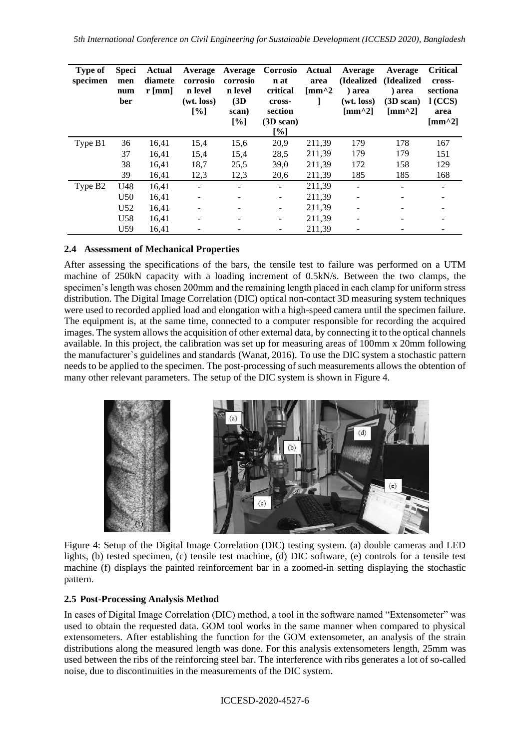*5th International Conference on Civil Engineering for Sustainable Development (ICCESD 2020), Bangladesh*

| <b>Type of</b><br>specimen | <b>Speci</b><br>men<br>num<br>ber | <b>Actual</b><br>diamete<br>$r$ [mm] | Average<br>corrosio<br>n level<br>(wt. loss)<br>[%] | Average<br>corrosio<br>n level<br>(3D)<br>scan)<br>[%] | Corrosio<br>n at<br>critical<br>cross-<br>section<br>(3D scan)<br>[%] | Actual<br>area<br>$\mathrm{[mm^{\wedge}2]}$ | Average<br>(Idealized)<br>) area<br>(wt. loss)<br>$\lceil$ mm^2] | Average<br>(Idealized)<br>) area<br>$(3D \, scan)$<br>$\mathrm{[mm^{\wedge}2]}$ | <b>Critical</b><br>cross-<br>sectiona<br>1(CCS)<br>area<br>$\lceil$ mm <sup><math>\wedge</math>2]</sup> |
|----------------------------|-----------------------------------|--------------------------------------|-----------------------------------------------------|--------------------------------------------------------|-----------------------------------------------------------------------|---------------------------------------------|------------------------------------------------------------------|---------------------------------------------------------------------------------|---------------------------------------------------------------------------------------------------------|
| Type B1                    | 36                                | 16,41                                | 15,4                                                | 15,6                                                   | 20,9                                                                  | 211,39                                      | 179                                                              | 178                                                                             | 167                                                                                                     |
|                            | 37                                | 16,41                                | 15,4                                                | 15,4                                                   | 28,5                                                                  | 211,39                                      | 179                                                              | 179                                                                             | 151                                                                                                     |
|                            | 38                                | 16,41                                | 18,7                                                | 25,5                                                   | 39,0                                                                  | 211,39                                      | 172                                                              | 158                                                                             | 129                                                                                                     |
|                            | 39                                | 16,41                                | 12,3                                                | 12,3                                                   | 20,6                                                                  | 211,39                                      | 185                                                              | 185                                                                             | 168                                                                                                     |
| Type B <sub>2</sub>        | U48                               | 16,41                                |                                                     |                                                        | $\overline{\phantom{a}}$                                              | 211,39                                      |                                                                  |                                                                                 |                                                                                                         |
|                            | U <sub>50</sub>                   | 16,41                                |                                                     |                                                        | $\overline{\phantom{0}}$                                              | 211,39                                      |                                                                  |                                                                                 |                                                                                                         |
|                            | U <sub>52</sub>                   | 16,41                                | ۰                                                   |                                                        | -                                                                     | 211,39                                      |                                                                  |                                                                                 |                                                                                                         |
|                            | U <sub>58</sub>                   | 16,41                                |                                                     |                                                        |                                                                       | 211,39                                      |                                                                  |                                                                                 |                                                                                                         |
|                            | U <sub>59</sub>                   | 16,41                                |                                                     |                                                        |                                                                       | 211,39                                      |                                                                  |                                                                                 |                                                                                                         |

#### **2.4 Assessment of Mechanical Properties**

After assessing the specifications of the bars, the tensile test to failure was performed on a UTM machine of 250kN capacity with a loading increment of 0.5kN/s. Between the two clamps, the specimen's length was chosen 200mm and the remaining length placed in each clamp for uniform stress distribution. The Digital Image Correlation (DIC) optical non-contact 3D measuring system techniques were used to recorded applied load and elongation with a high-speed camera until the specimen failure. The equipment is, at the same time, connected to a computer responsible for recording the acquired images. The system allows the acquisition of other external data, by connecting it to the optical channels available. In this project, the calibration was set up for measuring areas of 100mm x 20mm following the manufacturer`s guidelines and standards (Wanat, 2016). To use the DIC system a stochastic pattern needs to be applied to the specimen. The post-processing of such measurements allows the obtention of many other relevant parameters. The setup of the DIC system is shown in Figure 4.



Figure 4: Setup of the Digital Image Correlation (DIC) testing system. (a) double cameras and LED lights, (b) tested specimen, (c) tensile test machine, (d) DIC software, (e) controls for a tensile test machine (f) displays the painted reinforcement bar in a zoomed-in setting displaying the stochastic pattern.

### **2.5 Post-Processing Analysis Method**

In cases of Digital Image Correlation (DIC) method, a tool in the software named "Extensometer" was used to obtain the requested data. GOM tool works in the same manner when compared to physical extensometers. After establishing the function for the GOM extensometer, an analysis of the strain distributions along the measured length was done. For this analysis extensometers length, 25mm was used between the ribs of the reinforcing steel bar. The interference with ribs generates a lot of so-called noise, due to discontinuities in the measurements of the DIC system.

ICCESD-2020-4527-6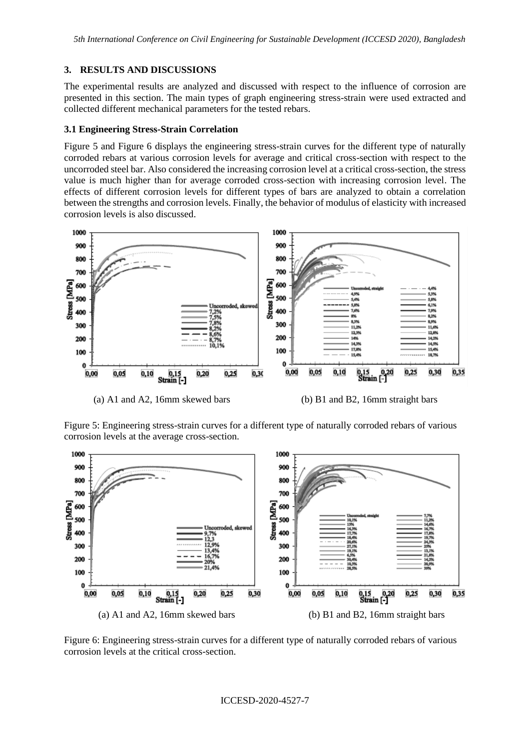*5th International Conference on Civil Engineering for Sustainable Development (ICCESD 2020), Bangladesh*

## **3. RESULTS AND DISCUSSIONS**

The experimental results are analyzed and discussed with respect to the influence of corrosion are presented in this section. The main types of graph engineering stress-strain were used extracted and collected different mechanical parameters for the tested rebars.

# **3.1 Engineering Stress-Strain Correlation**

Figure 5 and Figure 6 displays the engineering stress-strain curves for the different type of naturally corroded rebars at various corrosion levels for average and critical cross-section with respect to the uncorroded steel bar. Also considered the increasing corrosion level at a critical cross-section, the stress value is much higher than for average corroded cross-section with increasing corrosion level. The effects of different corrosion levels for different types of bars are analyzed to obtain a correlation between the strengths and corrosion levels. Finally, the behavior of modulus of elasticity with increased corrosion levels is also discussed.



(a) A1 and A2, 16mm skewed bars (b) B1 and B2, 16mm straight bars

Figure 5: Engineering stress-strain curves for a different type of naturally corroded rebars of various corrosion levels at the average cross-section.



Figure 6: Engineering stress-strain curves for a different type of naturally corroded rebars of various corrosion levels at the critical cross-section.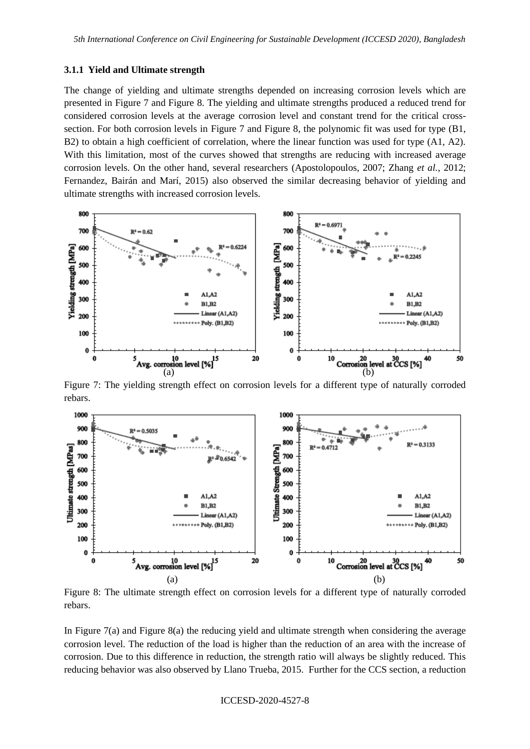#### **3.1.1 Yield and Ultimate strength**

The change of yielding and ultimate strengths depended on increasing corrosion levels which are presented in Figure 7 and Figure 8. The yielding and ultimate strengths produced a reduced trend for considered corrosion levels at the average corrosion level and constant trend for the critical crosssection. For both corrosion levels in Figure 7 and Figure 8, the polynomic fit was used for type (B1, B2) to obtain a high coefficient of correlation, where the linear function was used for type (A1, A2). With this limitation, most of the curves showed that strengths are reducing with increased average corrosion levels. On the other hand, several researchers (Apostolopoulos, 2007; Zhang *et al.*, 2012; Fernandez, Bairán and Marí, 2015) also observed the similar decreasing behavior of yielding and ultimate strengths with increased corrosion levels.



Figure 7: The yielding strength effect on corrosion levels for a different type of naturally corroded rebars.



Figure 8: The ultimate strength effect on corrosion levels for a different type of naturally corroded rebars.

In Figure 7(a) and Figure 8(a) the reducing yield and ultimate strength when considering the average corrosion level*.* The reduction of the load is higher than the reduction of an area with the increase of corrosion. Due to this difference in reduction, the strength ratio will always be slightly reduced. This reducing behavior was also observed by Llano Trueba, 2015. Further for the CCS section, a reduction

#### ICCESD-2020-4527-8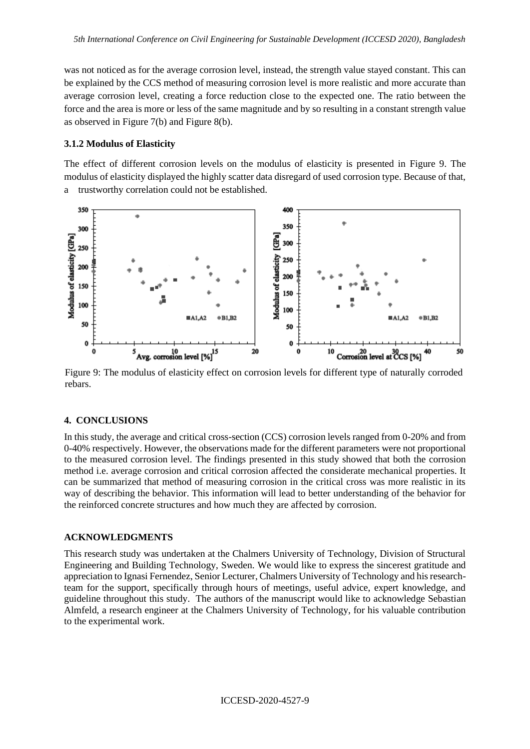was not noticed as for the average corrosion level, instead, the strength value stayed constant. This can be explained by the CCS method of measuring corrosion level is more realistic and more accurate than average corrosion level, creating a force reduction close to the expected one. The ratio between the force and the area is more or less of the same magnitude and by so resulting in a constant strength value as observed in Figure 7(b) and Figure 8(b).

### **3.1.2 Modulus of Elasticity**

The effect of different corrosion levels on the modulus of elasticity is presented in Figure 9. The modulus of elasticity displayed the highly scatter data disregard of used corrosion type. Because of that, a trustworthy correlation could not be established.



Figure 9: The modulus of elasticity effect on corrosion levels for different type of naturally corroded rebars.

#### **4. CONCLUSIONS**

In this study, the average and critical cross-section (CCS) corrosion levels ranged from 0-20% and from 0-40% respectively. However, the observations made for the different parameters were not proportional to the measured corrosion level. The findings presented in this study showed that both the corrosion method i.e. average corrosion and critical corrosion affected the considerate mechanical properties. It can be summarized that method of measuring corrosion in the critical cross was more realistic in its way of describing the behavior. This information will lead to better understanding of the behavior for the reinforced concrete structures and how much they are affected by corrosion.

#### **ACKNOWLEDGMENTS**

This research study was undertaken at the Chalmers University of Technology, Division of Structural Engineering and Building Technology, Sweden. We would like to express the sincerest gratitude and appreciation to Ignasi Fernendez, Senior Lecturer, Chalmers University of Technology and his researchteam for the support, specifically through hours of meetings, useful advice, expert knowledge, and guideline throughout this study. The authors of the manuscript would like to acknowledge Sebastian Almfeld, a research engineer at the Chalmers University of Technology, for his valuable contribution to the experimental work.